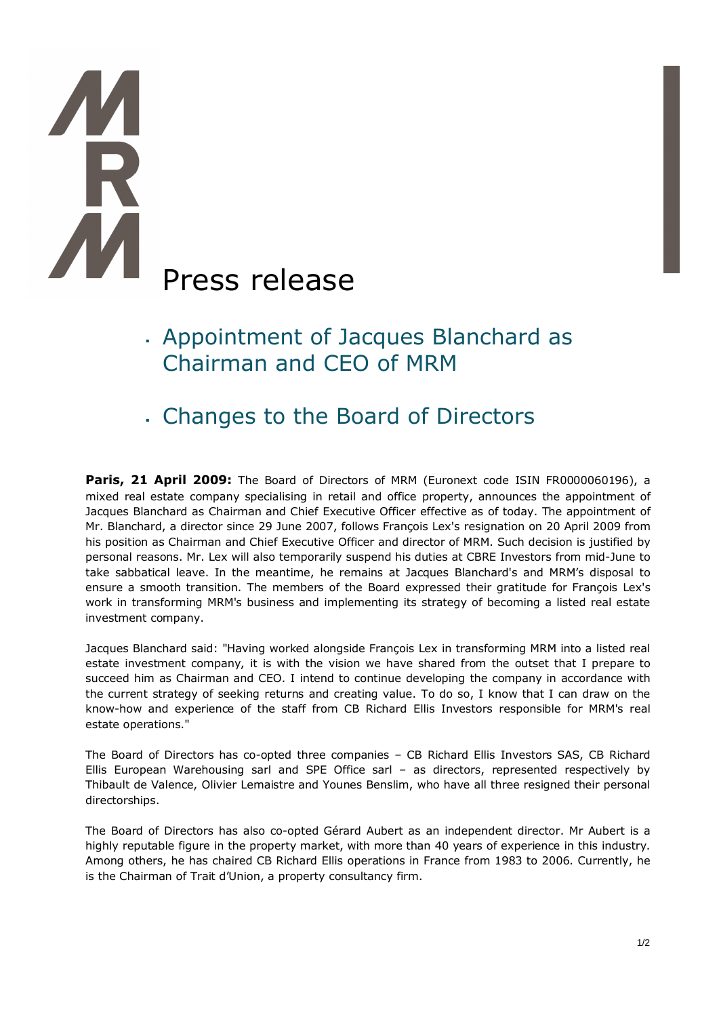# Press release

- <sup>ß</sup> Appointment of Jacques Blanchard as Chairman and CEO of MRM
- <sup>ß</sup> Changes to the Board of Directors

**Paris, 21 April 2009:** The Board of Directors of MRM (Euronext code ISIN FR0000060196), a mixed real estate company specialising in retail and office property, announces the appointment of Jacques Blanchard as Chairman and Chief Executive Officer effective as of today. The appointment of Mr. Blanchard, a director since 29 June 2007, follows François Lex's resignation on 20 April 2009 from his position as Chairman and Chief Executive Officer and director of MRM. Such decision is justified by personal reasons. Mr. Lex will also temporarily suspend his duties at CBRE Investors from mid-June to take sabbatical leave. In the meantime, he remains at Jacques Blanchard's and MRM's disposal to ensure a smooth transition. The members of the Board expressed their gratitude for François Lex's work in transforming MRM's business and implementing its strategy of becoming a listed real estate investment company.

Jacques Blanchard said: "Having worked alongside François Lex in transforming MRM into a listed real estate investment company, it is with the vision we have shared from the outset that I prepare to succeed him as Chairman and CEO. I intend to continue developing the company in accordance with the current strategy of seeking returns and creating value. To do so, I know that I can draw on the know-how and experience of the staff from CB Richard Ellis Investors responsible for MRM's real estate operations."

The Board of Directors has co-opted three companies – CB Richard Ellis Investors SAS, CB Richard Ellis European Warehousing sarl and SPE Office sarl – as directors, represented respectively by Thibault de Valence, Olivier Lemaistre and Younes Benslim, who have all three resigned their personal directorships.

The Board of Directors has also co-opted Gérard Aubert as an independent director. Mr Aubert is a highly reputable figure in the property market, with more than 40 years of experience in this industry. Among others, he has chaired CB Richard Ellis operations in France from 1983 to 2006. Currently, he is the Chairman of Trait d'Union, a property consultancy firm.